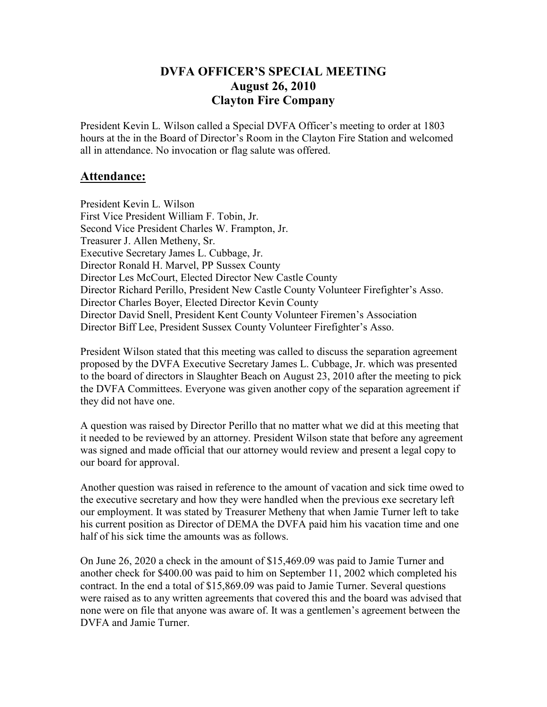## **DVFA OFFICER'S SPECIAL MEETING August 26, 2010 Clayton Fire Company**

President Kevin L. Wilson called a Special DVFA Officer's meeting to order at 1803 hours at the in the Board of Director's Room in the Clayton Fire Station and welcomed all in attendance. No invocation or flag salute was offered.

## **Attendance:**

President Kevin L. Wilson First Vice President William F. Tobin, Jr. Second Vice President Charles W. Frampton, Jr. Treasurer J. Allen Metheny, Sr. Executive Secretary James L. Cubbage, Jr. Director Ronald H. Marvel, PP Sussex County Director Les McCourt, Elected Director New Castle County Director Richard Perillo, President New Castle County Volunteer Firefighter's Asso. Director Charles Boyer, Elected Director Kevin County Director David Snell, President Kent County Volunteer Firemen's Association Director Biff Lee, President Sussex County Volunteer Firefighter's Asso.

President Wilson stated that this meeting was called to discuss the separation agreement proposed by the DVFA Executive Secretary James L. Cubbage, Jr. which was presented to the board of directors in Slaughter Beach on August 23, 2010 after the meeting to pick the DVFA Committees. Everyone was given another copy of the separation agreement if they did not have one.

A question was raised by Director Perillo that no matter what we did at this meeting that it needed to be reviewed by an attorney. President Wilson state that before any agreement was signed and made official that our attorney would review and present a legal copy to our board for approval.

Another question was raised in reference to the amount of vacation and sick time owed to the executive secretary and how they were handled when the previous exe secretary left our employment. It was stated by Treasurer Metheny that when Jamie Turner left to take his current position as Director of DEMA the DVFA paid him his vacation time and one half of his sick time the amounts was as follows.

On June 26, 2020 a check in the amount of \$15,469.09 was paid to Jamie Turner and another check for \$400.00 was paid to him on September 11, 2002 which completed his contract. In the end a total of \$15,869.09 was paid to Jamie Turner. Several questions were raised as to any written agreements that covered this and the board was advised that none were on file that anyone was aware of. It was a gentlemen's agreement between the DVFA and Jamie Turner.